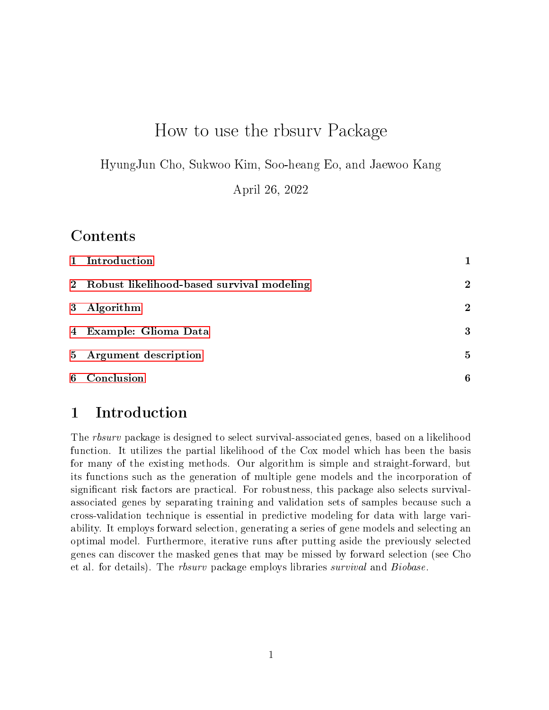# How to use the rbsurv Package

HyungJun Cho, Sukwoo Kim, Soo-heang Eo, and Jaewoo Kang

April 26, 2022

### Contents

| 1 Introduction                              |                |
|---------------------------------------------|----------------|
| 2 Robust likelihood-based survival modeling | $\mathbf{2}$   |
| 3 Algorithm                                 | $\overline{2}$ |
| 4 Example: Glioma Data                      | 3              |
| 5 Argument description                      | $\mathbf{5}$   |
| 6 Conclusion                                | 6              |

## <span id="page-0-0"></span>1 Introduction

The rbsurv package is designed to select survival-associated genes, based on a likelihood function. It utilizes the partial likelihood of the Cox model which has been the basis for many of the existing methods. Our algorithm is simple and straight-forward, but its functions such as the generation of multiple gene models and the incorporation of significant risk factors are practical. For robustness, this package also selects survivalassociated genes by separating training and validation sets of samples because such a cross-validation technique is essential in predictive modeling for data with large variability. It employs forward selection, generating a series of gene models and selecting an optimal model. Furthermore, iterative runs after putting aside the previously selected genes can discover the masked genes that may be missed by forward selection (see Cho et al. for details). The rbsurv package employs libraries survival and Biobase.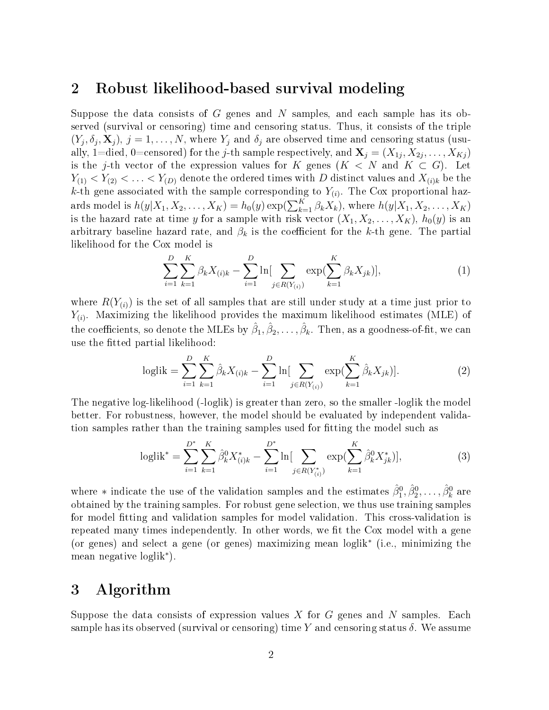#### <span id="page-1-0"></span>2 Robust likelihood-based survival modeling

Suppose the data consists of G genes and N samples, and each sample has its observed (survival or censoring) time and censoring status. Thus, it consists of the triple  $(Y_j, \delta_j, \mathbf{X}_j)$ ,  $j = 1, ..., N$ , where  $Y_j$  and  $\delta_j$  are observed time and censoring status (usually, 1=died, 0=censored) for the *j*-th sample respectively, and  $\mathbf{X}_j = (X_{1j}, X_{2j}, \ldots, X_{Kj})$ is the j-th vector of the expression values for K genes  $(K < N$  and  $K \subset G)$ . Let  $Y_{(1)} < Y_{(2)} < \ldots < Y_{(D)}$  denote the ordered times with D distinct values and  $X_{(i)k}$  be the k-th gene associated with the sample corresponding to  $Y_{(i)}$ . The Cox proportional hazards model is  $h(y|X_1, X_2, \ldots, X_K) = h_0(y) \exp(\sum_{k=1}^K \beta_k X_k)$ , where  $h(y|X_1, X_2, \ldots, X_K)$ is the hazard rate at time y for a sample with risk vector  $(X_1, X_2, \ldots, X_K)$ ,  $h_0(y)$  is an arbitrary baseline hazard rate, and  $\beta_k$  is the coefficient for the k-th gene. The partial likelihood for the Cox model is

$$
\sum_{i=1}^{D} \sum_{k=1}^{K} \beta_k X_{(i)k} - \sum_{i=1}^{D} \ln \left[ \sum_{j \in R(Y_{(i)})} \exp \left( \sum_{k=1}^{K} \beta_k X_{jk} \right) \right],\tag{1}
$$

where  $R(Y_{(i)})$  is the set of all samples that are still under study at a time just prior to  $Y_{(i)}$ . Maximizing the likelihood provides the maximum likelihood estimates (MLE) of the coefficients, so denote the MLEs by  $\hat\beta_1, \hat\beta_2, \ldots, \hat\beta_k.$  Then, as a goodness-of-fit, we can use the fitted partial likelihood:

loglik = 
$$
\sum_{i=1}^{D} \sum_{k=1}^{K} \hat{\beta}_k X_{(i)k} - \sum_{i=1}^{D} \ln \left[ \sum_{j \in R(Y_{(i)})} \exp \left( \sum_{k=1}^{K} \hat{\beta}_k X_{jk} \right) \right].
$$
 (2)

The negative log-likelihood (-loglik) is greater than zero, so the smaller -loglik the model better. For robustness, however, the model should be evaluated by independent validation samples rather than the training samples used for tting the model such as

$$
\text{loglik}^* = \sum_{i=1}^{D^*} \sum_{k=1}^K \hat{\beta}_k^0 X_{(i)k}^* - \sum_{i=1}^{D^*} \ln \left[ \sum_{j \in R(Y_{(i)}^*)} \exp \left( \sum_{k=1}^K \hat{\beta}_k^0 X_{jk}^* \right) \right],\tag{3}
$$

where  $*$  indicate the use of the validation samples and the estimates  $\hat{\beta}_1^0, \hat{\beta}_2^0, \ldots, \hat{\beta}_k^0$  are obtained by the training samples. For robust gene selection, we thus use training samples for model tting and validation samples for model validation. This cross-validation is repeated many times independently. In other words, we fit the Cox model with a gene (or genes) and select a gene (or genes) maximizing mean loglik<sup>∗</sup> (i.e., minimizing the mean negative loglik<sup>∗</sup> ).

#### <span id="page-1-1"></span>3 Algorithm

Suppose the data consists of expression values X for G genes and N samples. Each sample has its observed (survival or censoring) time Y and censoring status  $\delta$ . We assume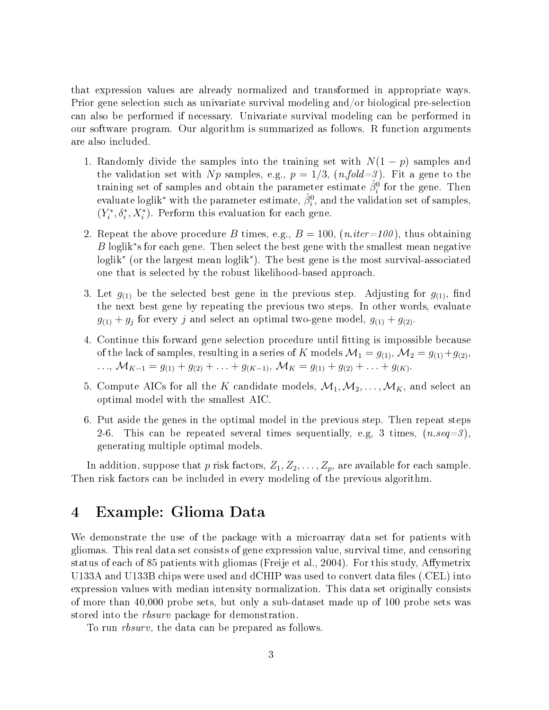that expression values are already normalized and transformed in appropriate ways. Prior gene selection such as univariate survival modeling and/or biological pre-selection can also be performed if necessary. Univariate survival modeling can be performed in our software program. Our algorithm is summarized as follows. R function arguments are also included.

- 1. Randomly divide the samples into the training set with  $N(1-p)$  samples and the validation set with Np samples, e.g.,  $p = 1/3$ ,  $(n-fold=3)$ . Fit a gene to the training set of samples and obtain the parameter estimate  $\hat{\beta}_i^0$  for the gene. Then evaluate loglik $^*$  with the parameter estimate,  $\hat{\beta}_i^0$ , and the validation set of samples,  $(Y_i^*, \delta_i^*, X_i^*)$ . Perform this evaluation for each gene.
- 2. Repeat the above procedure B times, e.g.,  $B = 100$ ,  $(n.iter=100)$ , thus obtaining B loglik<sup>∗</sup> s for each gene. Then select the best gene with the smallest mean negative loglik<sup>∗</sup> (or the largest mean loglik<sup>∗</sup> ). The best gene is the most survival-associated one that is selected by the robust likelihood-based approach.
- 3. Let  $g_{(1)}$  be the selected best gene in the previous step. Adjusting for  $g_{(1)}$ , find the next best gene by repeating the previous two steps. In other words, evaluate  $g_{(1)} + g_j$  for every j and select an optimal two-gene model,  $g_{(1)} + g_{(2)}$ .
- 4. Continue this forward gene selection procedure until tting is impossible because of the lack of samples, resulting in a series of K models  $\mathcal{M}_1 = g_{(1)}, \mathcal{M}_2 = g_{(1)}+g_{(2)}$ ,  $\ldots, \mathcal{M}_{K-1} = g_{(1)} + g_{(2)} + \ldots + g_{(K-1)}, \mathcal{M}_K = g_{(1)} + g_{(2)} + \ldots + g_{(K)}.$
- 5. Compute AICs for all the K candidate models,  $\mathcal{M}_1, \mathcal{M}_2, \ldots, \mathcal{M}_K$ , and select an optimal model with the smallest AIC.
- 6. Put aside the genes in the optimal model in the previous step. Then repeat steps 2-6. This can be repeated several times sequentially, e.g, 3 times,  $(n.\text{seq}=3)$ . generating multiple optimal models.

In addition, suppose that p risk factors,  $Z_1, Z_2, \ldots, Z_p$ , are available for each sample. Then risk factors can be included in every modeling of the previous algorithm.

#### <span id="page-2-0"></span>4 Example: Glioma Data

We demonstrate the use of the package with a microarray data set for patients with gliomas. This real data set consists of gene expression value, survival time, and censoring status of each of 85 patients with gliomas (Freije et al., 2004). For this study, Affymetrix U133A and U133B chips were used and dCHIP was used to convert data files (.CEL) into expression values with median intensity normalization. This data set originally consists of more than 40,000 probe sets, but only a sub-dataset made up of 100 probe sets was stored into the *rbsurv* package for demonstration.

To run rbsurv, the data can be prepared as follows.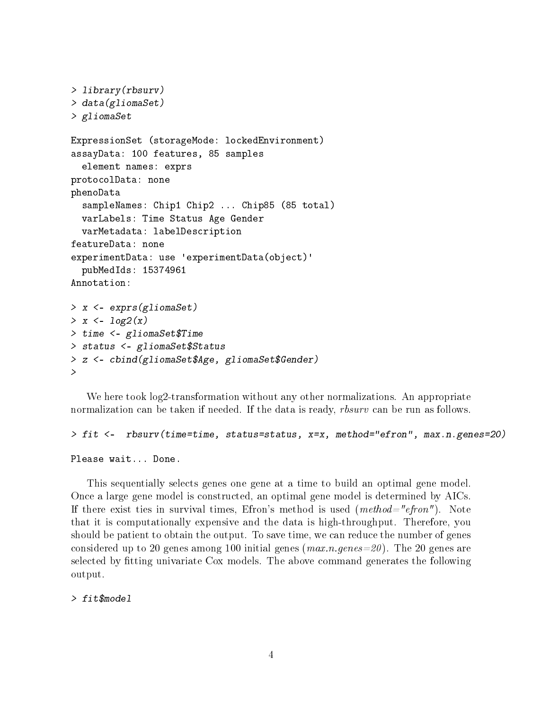```
> library(rbsurv)
> data(gliomaSet)
> gliomaSet
ExpressionSet (storageMode: lockedEnvironment)
assayData: 100 features, 85 samples
  element names: exprs
protocolData: none
phenoData
  sampleNames: Chip1 Chip2 ... Chip85 (85 total)
  varLabels: Time Status Age Gender
  varMetadata: labelDescription
featureData: none
experimentData: use 'experimentData(object)'
  pubMedIds: 15374961
Annotation:
> x <- exprs(gliomaSet)
> x < -log2(x)> time <- gliomaSet$Time
> status <- gliomaSet$Status
> z <- cbind(gliomaSet$Age, gliomaSet$Gender)
>
```
We here took log2-transformation without any other normalizations. An appropriate normalization can be taken if needed. If the data is ready, *rbsurv* can be run as follows.

> fit <- rbsurv(time=time, status=status, x=x, method="efron", max.n.genes=20)

Please wait... Done.

This sequentially selects genes one gene at a time to build an optimal gene model. Once a large gene model is constructed, an optimal gene model is determined by AICs. If there exist ties in survival times, Efron's method is used  $(method="efron'')$ . Note that it is computationally expensive and the data is high-throughput. Therefore, you should be patient to obtain the output. To save time, we can reduce the number of genes considered up to 20 genes among 100 initial genes  $(max.n.genes=20)$ . The 20 genes are selected by fitting univariate Cox models. The above command generates the following output.

> fit\$model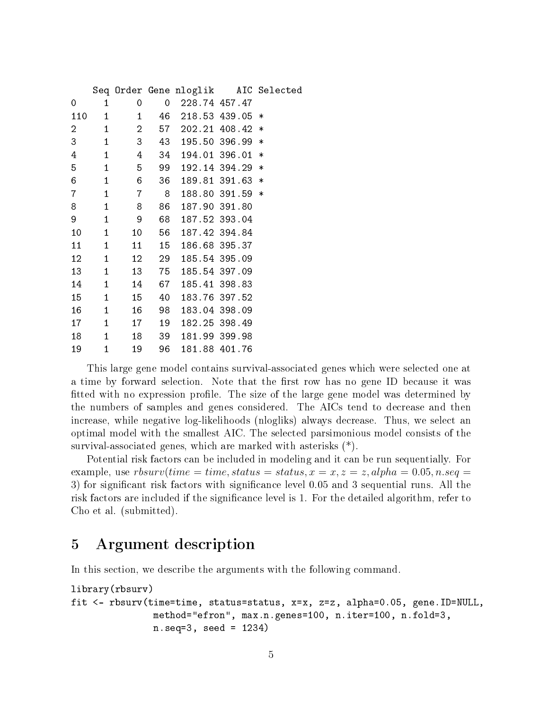|     |                            |                        |       |                                             |                 | Seq Order Gene nloglik AIC Selected |
|-----|----------------------------|------------------------|-------|---------------------------------------------|-----------------|-------------------------------------|
| 0   | $\mathbf 1$                | 0                      |       | $0\quad 228.74\quad 457.47$                 |                 |                                     |
| 110 | $\overline{\phantom{1}}$ 1 |                        |       | $1 \quad 46 \quad 218.53 \quad 439.05 \; *$ |                 |                                     |
| 2   | $\mathbf{1}$               |                        |       | 2 57 202.21 408.42 *                        |                 |                                     |
| 3   | $\mathbf{1}$               | $3 \t 43$              |       |                                             | 195.50 396.99 * |                                     |
| 4   | $\overline{\phantom{1}}$ 1 | 4 34                   |       |                                             | 194.01 396.01   | $\ast$                              |
| 5   | $\sim$ 1                   | 5 99                   |       |                                             | 192.14 394.29   | $\ast$                              |
| 6   | $\overline{\phantom{1}}$ 1 | $6\overline{6}$        | 36    |                                             | 189.81 391.63 * |                                     |
| 7   | $\mathbf{1}$               | 7 8                    |       |                                             | 188.80 391.59 * |                                     |
| 8   | $\mathbf{1}$               | 8 <sup>8</sup>         | 86    |                                             | 187.90 391.80   |                                     |
| 9   | $\mathbf{1}$               | $\overline{9}$         | 68    |                                             | 187.52 393.04   |                                     |
| 10  | $\sim$ 1                   | 10                     | 56    |                                             | 187.42 394.84   |                                     |
| 11  | $\sim$ 1                   | 11                     | 15    | 186.68 395.37                               |                 |                                     |
| 12  | $\mathbf{1}$               | 12                     | 29    | 185.54 395.09                               |                 |                                     |
| 13  | $\mathbf{1}$               | 13                     | 75    | 185.54 397.09                               |                 |                                     |
| 14  | $\overline{1}$             | 14                     | 67    |                                             | 185.41 398.83   |                                     |
| 15  | $\overline{1}$             | 15                     | 40    |                                             | 183.76 397.52   |                                     |
| 16  | $\overline{1}$             |                        | 16 98 |                                             | 183.04 398.09   |                                     |
| 17  | $\mathbf{1}$               |                        | 17 19 |                                             | 182.25 398.49   |                                     |
| 18  |                            | $1 \quad \blacksquare$ | 18 39 |                                             | 181.99 399.98   |                                     |
| 19  | $\mathbf{1}$               | 19                     | 96    |                                             | 181.88 401.76   |                                     |

This large gene model contains survival-associated genes which were selected one at a time by forward selection. Note that the first row has no gene ID because it was fitted with no expression profile. The size of the large gene model was determined by the numbers of samples and genes considered. The AICs tend to decrease and then increase, while negative log-likelihoods (nlogliks) always decrease. Thus, we select an optimal model with the smallest AIC. The selected parsimonious model consists of the survival-associated genes, which are marked with asterisks (\*).

Potential risk factors can be included in modeling and it can be run sequentially. For example, use  $rbsurv(time = time, status = status, x = x, z = z, alpha = 0.05, n.seq = z$ 3) for signicant risk factors with signicance level 0.05 and 3 sequential runs. All the risk factors are included if the significance level is 1. For the detailed algorithm, refer to Cho et al. (submitted).

## <span id="page-4-0"></span>5 Argument description

In this section, we describe the arguments with the following command.

```
library(rbsurv)
fit <- rbsurv(time=time, status=status, x=x, z=z, alpha=0.05, gene.ID=NULL,
               method="efron", max.n.genes=100, n.iter=100, n.fold=3,
               n.seq=3, seed = 1234)
```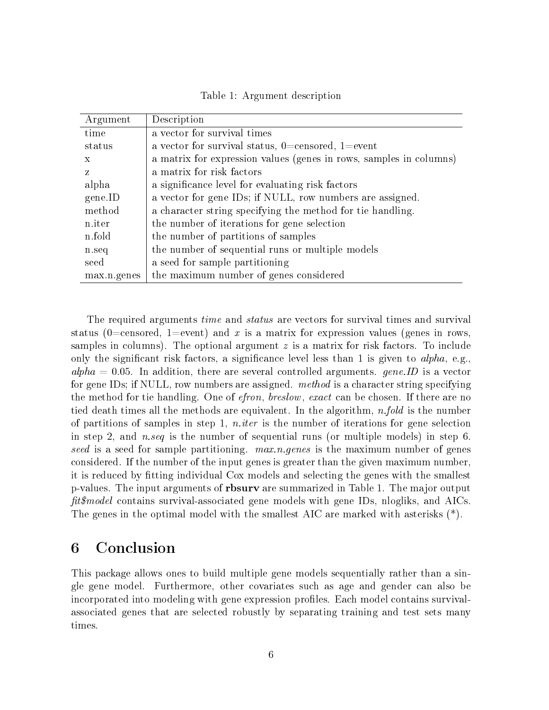Table 1: Argument description

| Argument    | Description                                                        |  |  |  |  |
|-------------|--------------------------------------------------------------------|--|--|--|--|
| time        | a vector for survival times                                        |  |  |  |  |
| status      | a vector for survival status, $0=$ censored, $1=$ event            |  |  |  |  |
| X           | a matrix for expression values (genes in rows, samples in columns) |  |  |  |  |
| Z           | a matrix for risk factors                                          |  |  |  |  |
| alpha       | a significance level for evaluating risk factors                   |  |  |  |  |
| gene.ID     | a vector for gene IDs; if NULL, row numbers are assigned.          |  |  |  |  |
| method      | a character string specifying the method for tie handling.         |  |  |  |  |
| n.iter      | the number of iterations for gene selection                        |  |  |  |  |
| n.fold      | the number of partitions of samples                                |  |  |  |  |
| n.seq       | the number of sequential runs or multiple models                   |  |  |  |  |
| seed        | a seed for sample partitioning                                     |  |  |  |  |
| max.n.genes | the maximum number of genes considered                             |  |  |  |  |

The required arguments *time* and *status* are vectors for survival times and survival status (0=censored, 1=event) and x is a matrix for expression values (genes in rows, samples in columns). The optional argument  $z$  is a matrix for risk factors. To include only the significant risk factors, a significance level less than 1 is given to  $alpha$ , e.g.,  $alpha = 0.05$ . In addition, there are several controlled arguments. gene. ID is a vector for gene IDs; if NULL, row numbers are assigned. *method* is a character string specifying the method for tie handling. One of *efron, breslow, exact* can be chosen. If there are no tied death times all the methods are equivalent. In the algorithm,  $n-fold$  is the number of partitions of samples in step 1, *n.iter* is the number of iterations for gene selection in step 2, and *n.seq* is the number of sequential runs (or multiple models) in step 6. seed is a seed for sample partitioning.  $max.n.genes$  is the maximum number of genes considered. If the number of the input genes is greater than the given maximum number, it is reduced by tting individual Cox models and selecting the genes with the smallest p-values. The input arguments of rbsurv are summarized in Table 1. The major output  $fit6 model$  contains survival-associated gene models with gene IDs, nlogliks, and AICs. The genes in the optimal model with the smallest AIC are marked with asterisks (\*).

### <span id="page-5-0"></span>6 Conclusion

This package allows ones to build multiple gene models sequentially rather than a single gene model. Furthermore, other covariates such as age and gender can also be incorporated into modeling with gene expression profiles. Each model contains survivalassociated genes that are selected robustly by separating training and test sets many times.